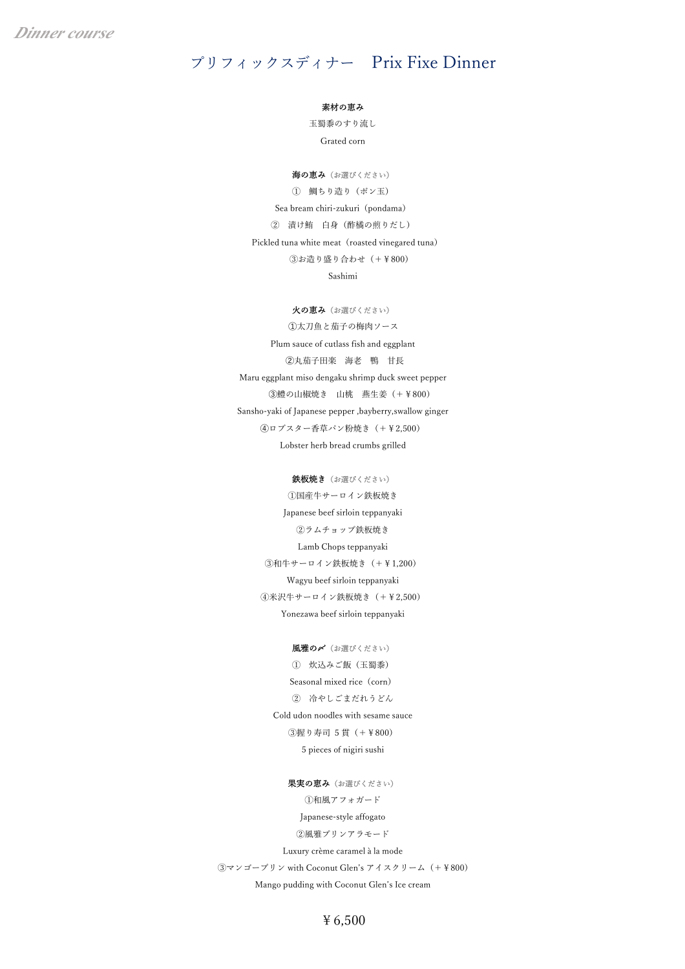# プリフィックスディナー Prix Fixe Dinner

#### 素材の恵み

玉蜀黍のすり流し Grated corn

#### 海の恵み (お選びください)

① 鯛ちり造り(ポン玉) Sea bream chiri-zukuri (pondama) ② 漬け鮪 白身(酢橘の煎りだし) Pickled tuna white meat (roasted vinegared tuna) ③お造り盛り合わせ(+¥800) Sashimi

#### 火の恵み(お選びください)

➀太刀魚と茄子の梅肉ソース Plum sauce of cutlass fish and eggplant ②丸茄子田楽 海老 鴨 甘長 Maru eggplant miso dengaku shrimp duck sweet pepper ➂鱧の山椒焼き 山桃 燕生姜(+¥800) Sansho-yaki of Japanese pepper ,bayberry,swallow ginger ➃ロブスター香草パン粉焼き(+¥2,500) Lobster herb bread crumbs grilled

#### 鉄板焼き(お選びください)

①国産牛サーロイン鉄板焼き Japanese beef sirloin teppanyaki ②ラムチョップ鉄板焼き Lamb Chops teppanyaki ③和牛サーロイン鉄板焼き(+¥1,200) Wagyu beef sirloin teppanyaki ④米沢牛サーロイン鉄板焼き(+¥2,500) Yonezawa beef sirloin teppanyaki

#### 風雅の〆(お選びください)

① 炊込みご飯(玉蜀黍) Seasonal mixed rice (corn) ② 冷やしごまだれうどん Cold udon noodles with sesame sauce ③握り寿司 5 貫(+¥800) 5 pieces of nigiri sushi

#### 果実の恵み(お選びください)

①和風アフォガード Japanese-style affogato ②風雅プリンアラモード Luxury crème caramel à la mode ③マンゴープリン with Coconut Glen's アイスクリーム(+¥800) Mango pudding with Coconut Glen's Ice cream

#### ¥6,500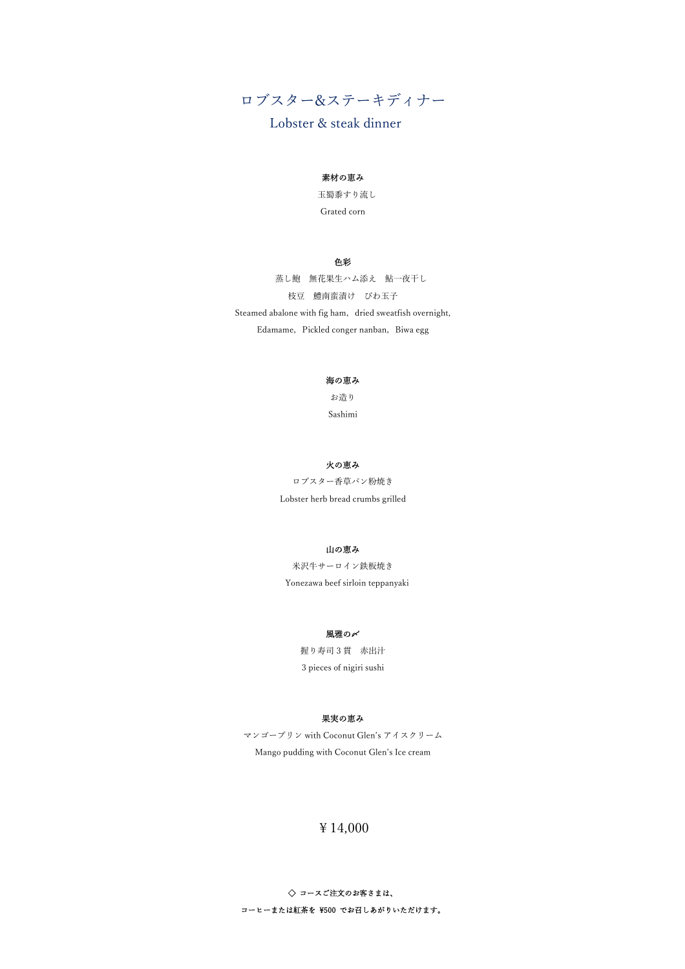

# Lobster & steak dinner

#### 素材の恵み

 玉蜀黍すり流し Grated corn

#### 色彩

 蒸し鮑 無花果生ハム添え 鮎一夜干し 枝豆 鱧南蛮漬け びわ玉子 Steamed abalone with fig ham, dried sweatfish overnight, Edamame, Pickled conger nanban, Biwa egg

#### 海の恵み

お造り Sashimi

#### 火の恵み

ロブスター香草パン粉焼き Lobster herb bread crumbs grilled

#### 山の恵み

米沢牛サーロイン鉄板焼き Yonezawa beef sirloin teppanyaki

#### 風雅の〆

握り寿司3貫 赤出汁 3 pieces of nigiri sushi

#### 果実の恵み

マンゴープリン with Coconut Glen's アイスクリーム Mango pudding with Coconut Glen's Ice cream

### ¥14,000

### ◇ コースご注文のお客さまは、 コーヒーまたは紅茶を ¥500 でお召しあがりいただけます。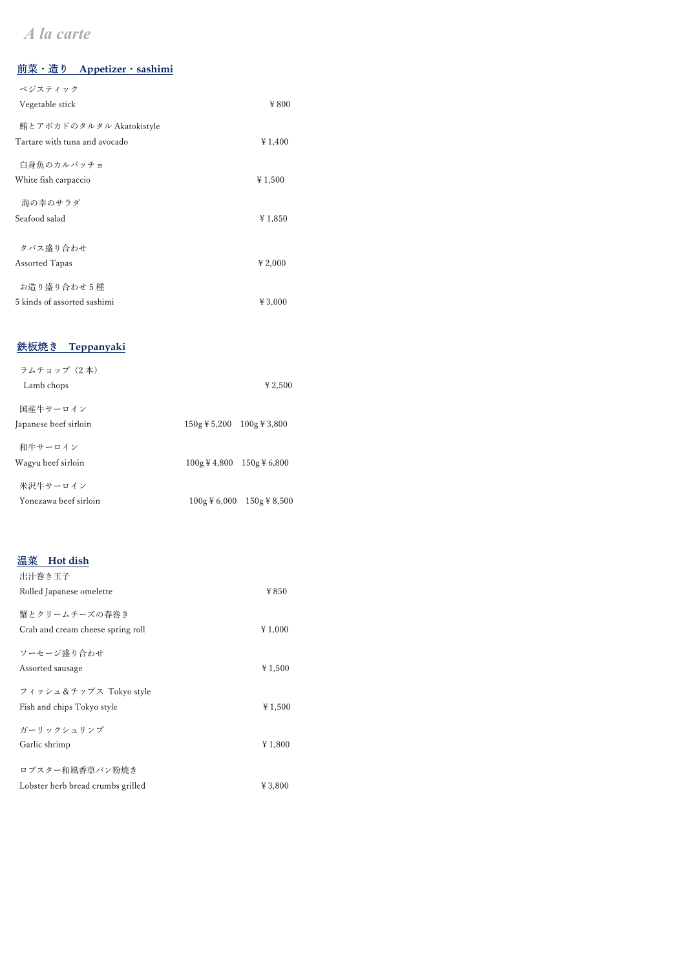# A la carte

## 前菜・造り Appetizer・sashimi

| ベジスティック<br>Vegetable stick                                | ¥800    |
|-----------------------------------------------------------|---------|
| 鮪とアボカドのタルタル Akatokistyle<br>Tartare with tuna and avocado | ¥ 1,400 |
| 白身魚のカルパッチョ<br>White fish carpaccio                        | ¥1,500  |
| 海の幸のサラダ<br>Seafood salad                                  | ¥ 1,850 |
| タパス盛り合わせ<br>Assorted Tapas                                | ¥ 2,000 |
| お造り盛り合わせ5種<br>5 kinds of assorted sashimi                 | ¥ 3,000 |

## 鉄板焼き Teppanyaki

| ラムチョップ(2本)<br>Lamb chops          | ¥ 2,500                                                           |
|-----------------------------------|-------------------------------------------------------------------|
| 国産牛サーロイン<br>Japanese beef sirloin | $150g \text{ } \frac{1}{2}5,200$ $100g \text{ } \frac{1}{2}3,800$ |
| 和牛サーロイン<br>Wagyu beef sirloin     | $100g \text{ } \frac{1}{2}4.800$ $150g \text{ } \frac{1}{2}6.800$ |
| 米沢牛サーロイン<br>Yonezawa beef sirloin | $100g \text{ } \frac{1}{2}6,000$ $150g \text{ } \frac{1}{2}8,500$ |

### 温菜 Hot dish

| 出汁巻き玉子                                             |         |
|----------------------------------------------------|---------|
| Rolled Japanese omelette                           | ¥850    |
| 蟹とクリームチーズの春巻き<br>Crab and cream cheese spring roll | ¥ 1,000 |
| ソーセージ盛り合わせ                                         |         |
| Assorted sausage                                   | ¥ 1,500 |
| フィッシュ&チップス Tokyo style                             |         |
| Fish and chips Tokyo style                         | ¥ 1,500 |
| ガーリックシュリンプ                                         |         |
| Garlic shrimp                                      | ¥1,800  |
| ロブスター和風香草パン粉焼き                                     |         |
| Lobster herb bread crumbs grilled                  | ¥ 3,800 |